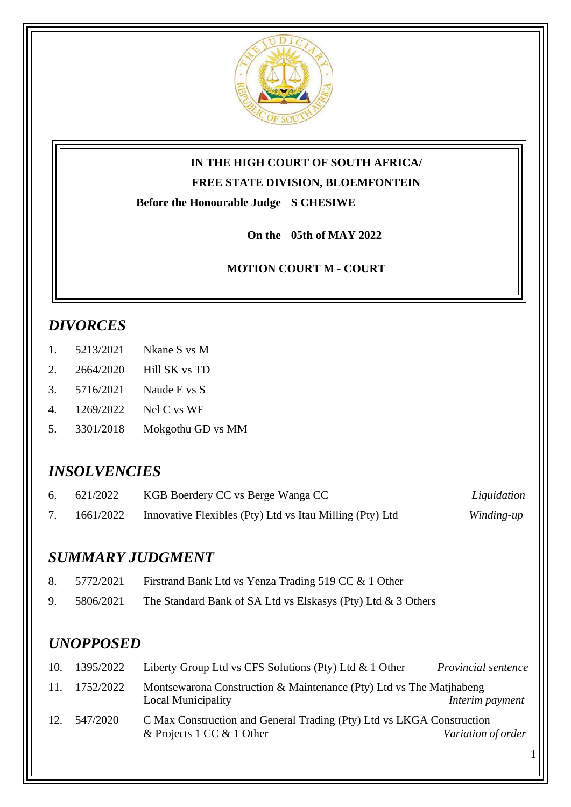

# **IN THE HIGH COURT OF SOUTH AFRICA/**

**FREE STATE DIVISION, BLOEMFONTEIN**

**Before the Honourable Judge S CHESIWE**

**On the 05th of MAY 2022**

**MOTION COURT M - COURT** 

# *DIVORCES*

- 1. 5213/2021 Nkane S vs M
- 2. 2664/2020 Hill SK vs TD
- 3. 5716/2021 Naude E vs S
- 4. 1269/2022 Nel C vs WF
- 5. 3301/2018 Mokgothu GD vs MM

# *INSOLVENCIES*

| 6. $621/2022$ | KGB Boerdery CC vs Berge Wanga CC                        | Liquidation |
|---------------|----------------------------------------------------------|-------------|
| 1661/2022     | Innovative Flexibles (Pty) Ltd vs Itau Milling (Pty) Ltd | Winding-up  |

# *SUMMARY JUDGMENT*

| 8. | 5772/2021 | Firstrand Bank Ltd vs Yenza Trading 519 CC & 1 Other |
|----|-----------|------------------------------------------------------|
|    |           |                                                      |

9. 5806/2021 The Standard Bank of SA Ltd vs Elskasys (Pty) Ltd & 3 Others

# *UNOPPOSED*

| 10. | 1395/2022 | Liberty Group Ltd vs CFS Solutions (Pty) Ltd $\&$ 1 Other                                          | Provincial sentence |
|-----|-----------|----------------------------------------------------------------------------------------------------|---------------------|
| 11. | 1752/2022 | Montsewarona Construction & Maintenance (Pty) Ltd vs The Matjhabeng<br><b>Local Municipality</b>   | Interim payment     |
| 12. | 547/2020  | C Max Construction and General Trading (Pty) Ltd vs LKGA Construction<br>& Projects 1 CC & 1 Other | Variation of order  |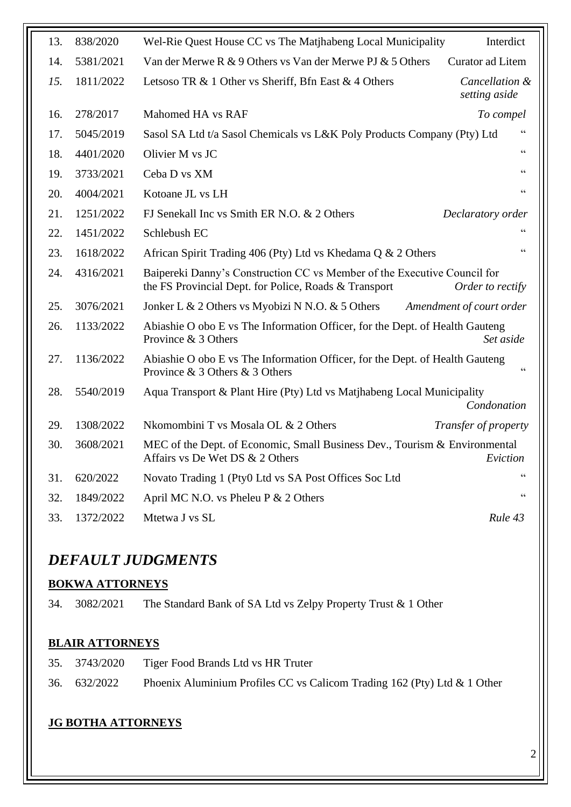| 13. | 838/2020  | Wel-Rie Quest House CC vs The Matjhabeng Local Municipality                                                                       | Interdict                       |
|-----|-----------|-----------------------------------------------------------------------------------------------------------------------------------|---------------------------------|
| 14. | 5381/2021 | Van der Merwe R & 9 Others vs Van der Merwe PJ & 5 Others                                                                         | Curator ad Litem                |
| 15. | 1811/2022 | Letsoso TR & 1 Other vs Sheriff, Bfn East & 4 Others                                                                              | Cancellation &<br>setting aside |
| 16. | 278/2017  | Mahomed HA vs RAF                                                                                                                 | To compel                       |
| 17. | 5045/2019 | Sasol SA Ltd t/a Sasol Chemicals vs L&K Poly Products Company (Pty) Ltd                                                           |                                 |
| 18. | 4401/2020 | Olivier M vs JC                                                                                                                   | $\zeta$ $\zeta$                 |
| 19. | 3733/2021 | Ceba D vs XM                                                                                                                      | $\zeta \zeta$                   |
| 20. | 4004/2021 | Kotoane JL vs LH                                                                                                                  | $\zeta$ $\zeta$                 |
| 21. | 1251/2022 | FJ Senekall Inc vs Smith ER N.O. & 2 Others                                                                                       | Declaratory order               |
| 22. | 1451/2022 | Schlebush EC                                                                                                                      | $\zeta \zeta$                   |
| 23. | 1618/2022 | African Spirit Trading 406 (Pty) Ltd vs Khedama Q & 2 Others                                                                      | $\zeta$ $\zeta$                 |
| 24. | 4316/2021 | Baipereki Danny's Construction CC vs Member of the Executive Council for<br>the FS Provincial Dept. for Police, Roads & Transport | Order to rectify                |
| 25. | 3076/2021 | Jonker L & 2 Others vs Myobizi N N.O. & 5 Others                                                                                  | Amendment of court order        |
| 26. | 1133/2022 | Abiashie O obo E vs The Information Officer, for the Dept. of Health Gauteng<br>Province & 3 Others                               | Set aside                       |
| 27. | 1136/2022 | Abiashie O obo E vs The Information Officer, for the Dept. of Health Gauteng<br>Province & 3 Others & 3 Others                    | $\epsilon$                      |
| 28. | 5540/2019 | Aqua Transport & Plant Hire (Pty) Ltd vs Matjhabeng Local Municipality                                                            | Condonation                     |
| 29. | 1308/2022 | Nkomombini T vs Mosala OL & 2 Others                                                                                              | Transfer of property            |
| 30. | 3608/2021 | MEC of the Dept. of Economic, Small Business Dev., Tourism & Environmental<br>Affairs vs De Wet DS & 2 Others                     | Eviction                        |
| 31. | 620/2022  | Novato Trading 1 (Pty0 Ltd vs SA Post Offices Soc Ltd                                                                             |                                 |
| 32. | 1849/2022 | April MC N.O. vs Pheleu P & 2 Others                                                                                              | $\zeta$ $\zeta$                 |
| 33. | 1372/2022 | Mtetwa J vs SL                                                                                                                    | Rule 43                         |

# *DEFAULT JUDGMENTS*

#### **BOKWA ATTORNEYS**

34. 3082/2021 The Standard Bank of SA Ltd vs Zelpy Property Trust & 1 Other

#### **BLAIR ATTORNEYS**

35. 3743/2020 Tiger Food Brands Ltd vs HR Truter 36. 632/2022 Phoenix Aluminium Profiles CC vs Calicom Trading 162 (Pty) Ltd & 1 Other

# **JG BOTHA ATTORNEYS**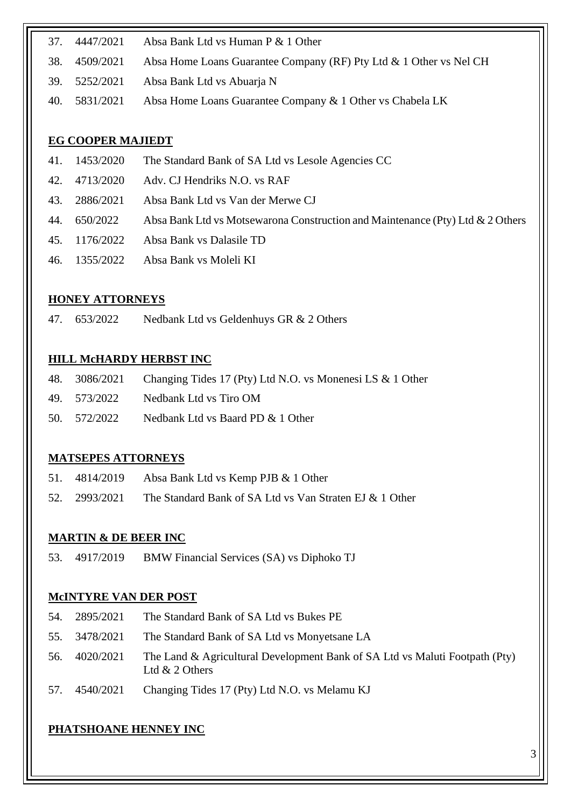- 37. 4447/2021 Absa Bank Ltd vs Human P & 1 Other
- 38. 4509/2021 Absa Home Loans Guarantee Company (RF) Pty Ltd & 1 Other vs Nel CH
- 39. 5252/2021 Absa Bank Ltd vs Abuarja N
- 40. 5831/2021 Absa Home Loans Guarantee Company & 1 Other vs Chabela LK

### **EG COOPER MAJIEDT**

- 41. 1453/2020 The Standard Bank of SA Ltd vs Lesole Agencies CC
- 42. 4713/2020 Adv. CJ Hendriks N.O. vs RAF
- 43. 2886/2021 Absa Bank Ltd vs Van der Merwe CJ
- 44. 650/2022 Absa Bank Ltd vs Motsewarona Construction and Maintenance (Pty) Ltd & 2 Others
- 45. 1176/2022 Absa Bank vs Dalasile TD
- 46. 1355/2022 Absa Bank vs Moleli KI

## **HONEY ATTORNEYS**

47. 653/2022 Nedbank Ltd vs Geldenhuys GR & 2 Others

### **HILL McHARDY HERBST INC**

|              | 48. 3086/2021 Changing Tides 17 (Pty) Ltd N.O. vs Monenesi LS & 1 Other |
|--------------|-------------------------------------------------------------------------|
|              | 49. 573/2022 Nedbank Ltd vs Tiro OM                                     |
| 50. 572/2022 | Nedbank Ltd vs Baard PD & 1 Other                                       |

### **MATSEPES ATTORNEYS**

- 51. 4814/2019 Absa Bank Ltd vs Kemp PJB & 1 Other
- 52. 2993/2021 The Standard Bank of SA Ltd vs Van Straten EJ & 1 Other

# **MARTIN & DE BEER INC**

53. 4917/2019 BMW Financial Services (SA) vs Diphoko TJ

### **McINTYRE VAN DER POST**

- 54. 2895/2021 The Standard Bank of SA Ltd vs Bukes PE
- 55. 3478/2021 The Standard Bank of SA Ltd vs Monyetsane LA
- 56. 4020/2021 The Land & Agricultural Development Bank of SA Ltd vs Maluti Footpath (Pty) Ltd & 2 Others
- 57. 4540/2021 Changing Tides 17 (Pty) Ltd N.O. vs Melamu KJ

# **PHATSHOANE HENNEY INC**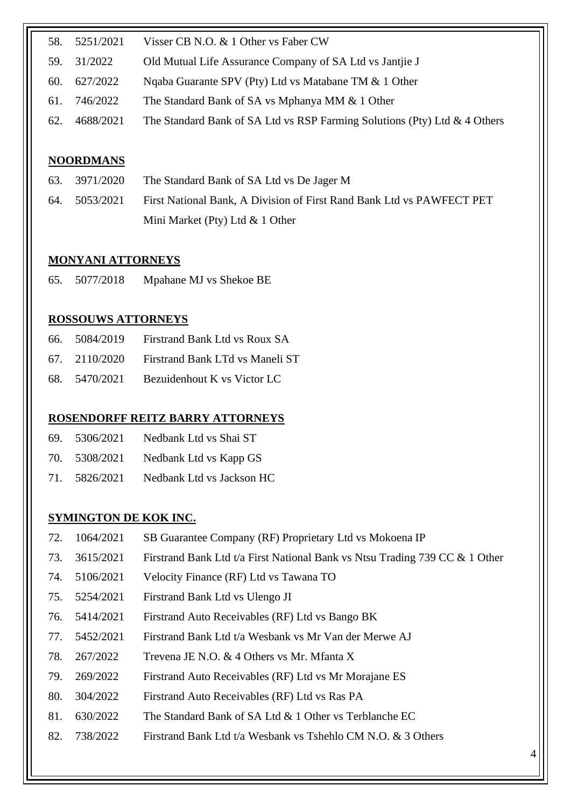| 58. | 5251/2021 | Visser CB N.O. & 1 Other vs Faber CW                                         |
|-----|-----------|------------------------------------------------------------------------------|
| 59. | 31/2022   | Old Mutual Life Assurance Company of SA Ltd vs Jantjie J                     |
| 60. | 627/2022  | Ngaba Guarante SPV (Pty) Ltd vs Matabane TM & 1 Other                        |
| 61. | 746/2022  | The Standard Bank of SA vs Mphanya MM & 1 Other                              |
| 62. | 4688/2021 | The Standard Bank of SA Ltd vs RSP Farming Solutions (Pty) Ltd $\&$ 4 Others |

#### **NOORDMANS**

| 63. 3971/2020 | The Standard Bank of SA Ltd vs De Jager M                             |
|---------------|-----------------------------------------------------------------------|
| 64. 5053/2021 | First National Bank, A Division of First Rand Bank Ltd vs PAWFECT PET |
|               | Mini Market (Pty) Ltd $& 1$ Other                                     |

#### **MONYANI ATTORNEYS**

65. 5077/2018 Mpahane MJ vs Shekoe BE

#### **ROSSOUWS ATTORNEYS**

| 66. 5084/2019 | Firstrand Bank Ltd vs Roux SA                 |
|---------------|-----------------------------------------------|
|               | 67. 2110/2020 Firstrand Bank LTd vs Maneli ST |
| 68. 5470/2021 | Bezuidenhout K vs Victor LC                   |

#### **ROSENDORFF REITZ BARRY ATTORNEYS**

- 69. 5306/2021 Nedbank Ltd vs Shai ST
- 70. 5308/2021 Nedbank Ltd vs Kapp GS
- 71. 5826/2021 Nedbank Ltd vs Jackson HC

#### **SYMINGTON DE KOK INC.**

- 72. 1064/2021 SB Guarantee Company (RF) Proprietary Ltd vs Mokoena IP
- 73. 3615/2021 Firstrand Bank Ltd t/a First National Bank vs Ntsu Trading 739 CC & 1 Other
- 74. 5106/2021 Velocity Finance (RF) Ltd vs Tawana TO
- 75. 5254/2021 Firstrand Bank Ltd vs Ulengo JI
- 76. 5414/2021 Firstrand Auto Receivables (RF) Ltd vs Bango BK
- 77. 5452/2021 Firstrand Bank Ltd t/a Wesbank vs Mr Van der Merwe AJ
- 78. 267/2022 Trevena JE N.O. & 4 Others vs Mr. Mfanta X
- 79. 269/2022 Firstrand Auto Receivables (RF) Ltd vs Mr Morajane ES
- 80. 304/2022 Firstrand Auto Receivables (RF) Ltd vs Ras PA
- 81. 630/2022 The Standard Bank of SA Ltd & 1 Other vs Terblanche EC
- 82. 738/2022 Firstrand Bank Ltd t/a Wesbank vs Tshehlo CM N.O. & 3 Others